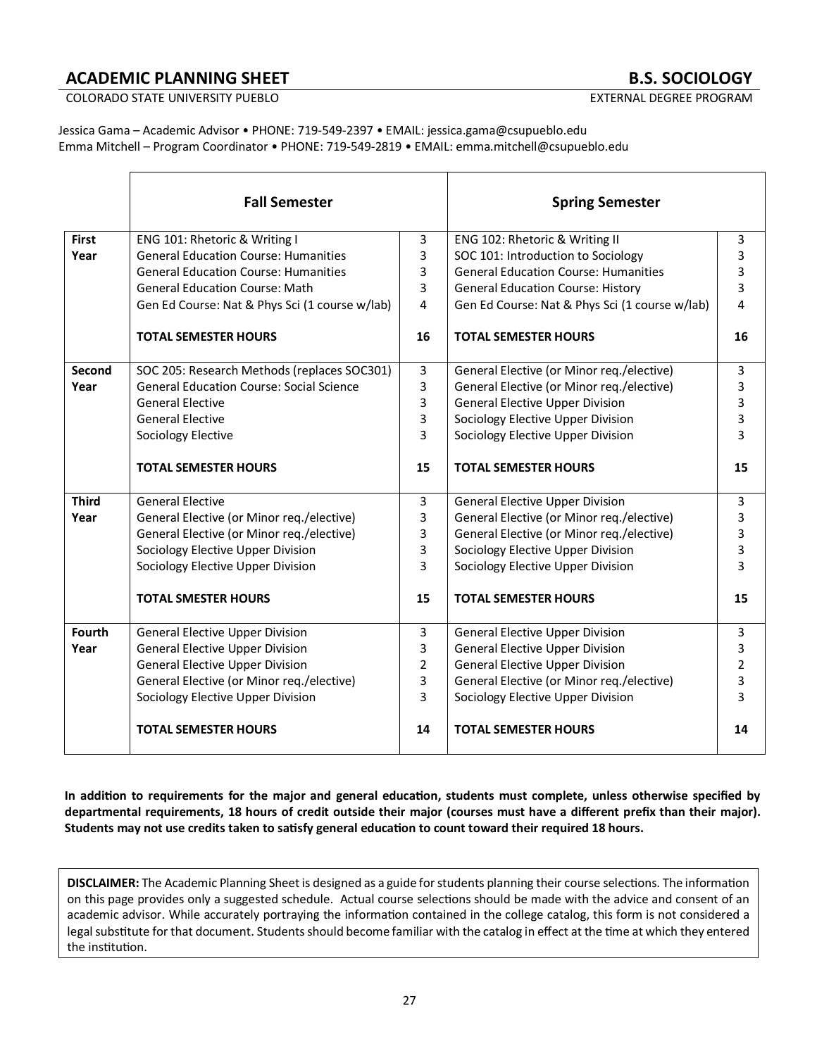# **ACADEMIC PLANNING SHEET B.S. SOCIOLOGY**

COLORADO STATE UNIVERSITY PUEBLO **EXTERNAL DEGREE PROGRAM** 

Jessica Gama – Academic Advisor • PHONE: 719-549-2397 • EMAIL: jessica.gama@csupueblo.edu Emma Mitchell – Program Coordinator • PHONE: 719-549-2819 • EMAIL: emma.mitchell@csupueblo.edu

|               | <b>Fall Semester</b>                            |                | <b>Spring Semester</b>                         |                |
|---------------|-------------------------------------------------|----------------|------------------------------------------------|----------------|
| <b>First</b>  | ENG 101: Rhetoric & Writing I                   | 3              | ENG 102: Rhetoric & Writing II                 | 3              |
| Year          | <b>General Education Course: Humanities</b>     | 3              | SOC 101: Introduction to Sociology             | 3              |
|               | <b>General Education Course: Humanities</b>     | 3              | <b>General Education Course: Humanities</b>    | 3              |
|               | <b>General Education Course: Math</b>           | 3              | <b>General Education Course: History</b>       | 3              |
|               | Gen Ed Course: Nat & Phys Sci (1 course w/lab)  | 4              | Gen Ed Course: Nat & Phys Sci (1 course w/lab) | 4              |
|               | <b>TOTAL SEMESTER HOURS</b>                     | 16             | <b>TOTAL SEMESTER HOURS</b>                    | 16             |
| Second        | SOC 205: Research Methods (replaces SOC301)     | 3              | General Elective (or Minor req./elective)      | 3              |
| Year          | <b>General Education Course: Social Science</b> | 3              | General Elective (or Minor req./elective)      | 3              |
|               | <b>General Elective</b>                         | 3              | <b>General Elective Upper Division</b>         | 3              |
|               | <b>General Elective</b>                         | 3              | Sociology Elective Upper Division              | 3              |
|               | <b>Sociology Elective</b>                       | 3              | Sociology Elective Upper Division              | 3              |
|               | <b>TOTAL SEMESTER HOURS</b>                     | 15             | <b>TOTAL SEMESTER HOURS</b>                    | 15             |
| <b>Third</b>  | <b>General Elective</b>                         | 3              | <b>General Elective Upper Division</b>         | 3              |
| Year          | General Elective (or Minor reg./elective)       | 3              | General Elective (or Minor reg./elective)      | 3              |
|               | General Elective (or Minor req./elective)       | 3              | General Elective (or Minor req./elective)      | 3              |
|               | Sociology Elective Upper Division               | 3              | Sociology Elective Upper Division              | 3              |
|               | Sociology Elective Upper Division               | 3              | Sociology Elective Upper Division              | 3              |
|               | <b>TOTAL SMESTER HOURS</b>                      | 15             | <b>TOTAL SEMESTER HOURS</b>                    | 15             |
| <b>Fourth</b> | <b>General Elective Upper Division</b>          | 3              | <b>General Elective Upper Division</b>         | 3              |
| Year          | <b>General Elective Upper Division</b>          | 3              | <b>General Elective Upper Division</b>         | 3              |
|               | <b>General Elective Upper Division</b>          | $\overline{2}$ | <b>General Elective Upper Division</b>         | $\overline{2}$ |
|               | General Elective (or Minor req./elective)       | 3              | General Elective (or Minor req./elective)      | 3              |
|               | Sociology Elective Upper Division               | 3              | Sociology Elective Upper Division              | 3              |
|               | <b>TOTAL SEMESTER HOURS</b>                     | 14             | <b>TOTAL SEMESTER HOURS</b>                    | 14             |

**In addition to requirements for the major and general education, students must complete, unless otherwise specified by departmental requirements, 18 hours of credit outside their major (courses must have a different prefix than their major). Students may not use credits taken to satisfy general education to count toward their required 18 hours.** 

**DISCLAIMER:** The Academic Planning Sheet is designed as a guide for students planning their course selections. The information on this page provides only a suggested schedule. Actual course selections should be made with the advice and consent of an academic advisor. While accurately portraying the information contained in the college catalog, this form is not considered a legal substitute for that document. Students should become familiar with the catalog in effect at the time at which they entered the institution.